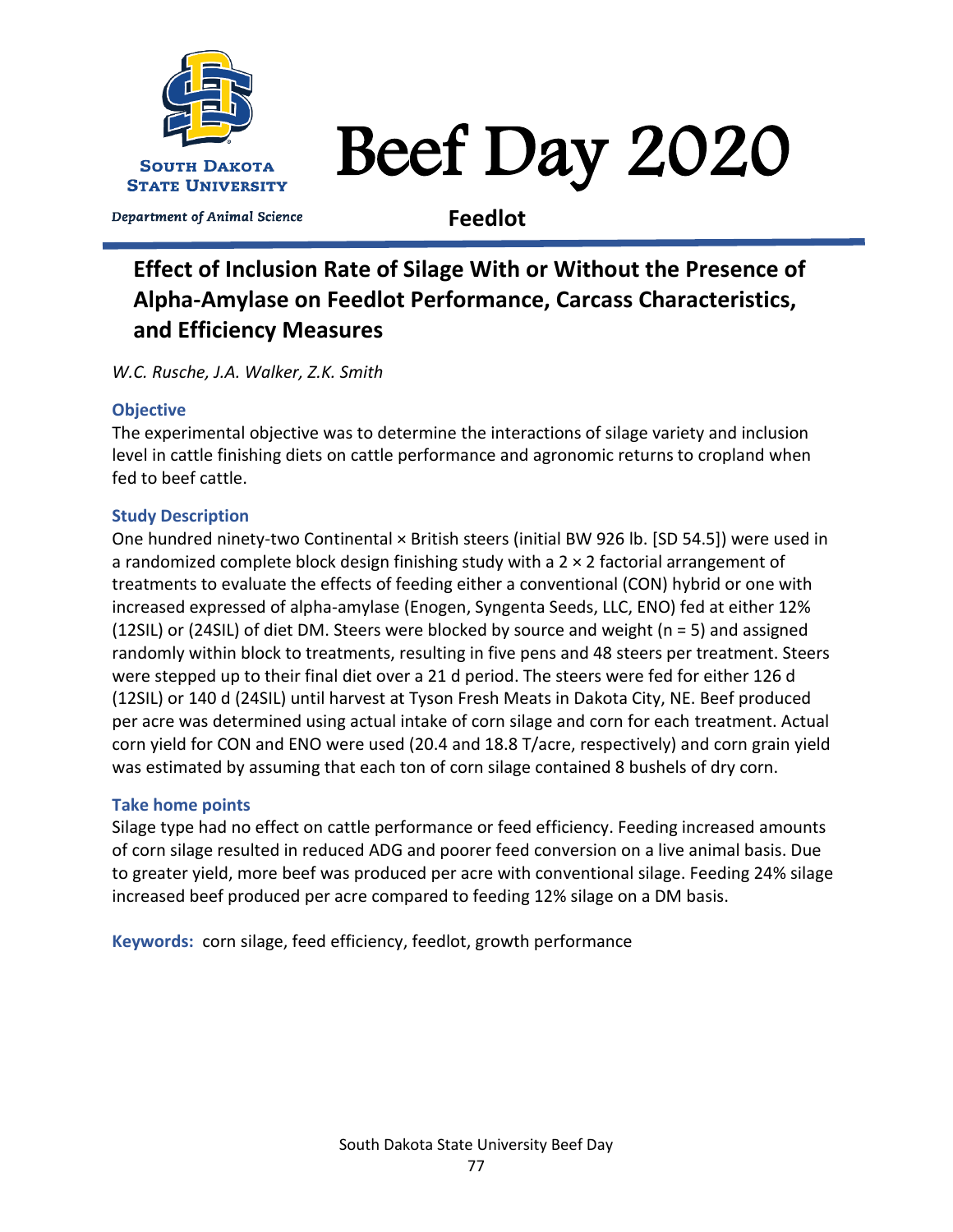

# Beef Day 2020

Department of Animal Science

**Feedlot**

# **Effect of Inclusion Rate of Silage With or Without the Presence of Alpha-Amylase on Feedlot Performance, Carcass Characteristics, and Efficiency Measures**

*W.C. Rusche, J.A. Walker, Z.K. Smith*

# **Objective**

The experimental objective was to determine the interactions of silage variety and inclusion level in cattle finishing diets on cattle performance and agronomic returns to cropland when fed to beef cattle.

# **Study Description**

One hundred ninety-two Continental × British steers (initial BW 926 lb. [SD 54.5]) were used in a randomized complete block design finishing study with a  $2 \times 2$  factorial arrangement of treatments to evaluate the effects of feeding either a conventional (CON) hybrid or one with increased expressed of alpha-amylase (Enogen, Syngenta Seeds, LLC, ENO) fed at either 12% (12SIL) or (24SIL) of diet DM. Steers were blocked by source and weight (n = 5) and assigned randomly within block to treatments, resulting in five pens and 48 steers per treatment. Steers were stepped up to their final diet over a 21 d period. The steers were fed for either 126 d (12SIL) or 140 d (24SIL) until harvest at Tyson Fresh Meats in Dakota City, NE. Beef produced per acre was determined using actual intake of corn silage and corn for each treatment. Actual corn yield for CON and ENO were used (20.4 and 18.8 T/acre, respectively) and corn grain yield was estimated by assuming that each ton of corn silage contained 8 bushels of dry corn.

# **Take home points**

Silage type had no effect on cattle performance or feed efficiency. Feeding increased amounts of corn silage resulted in reduced ADG and poorer feed conversion on a live animal basis. Due to greater yield, more beef was produced per acre with conventional silage. Feeding 24% silage increased beef produced per acre compared to feeding 12% silage on a DM basis.

**Keywords:** corn silage, feed efficiency, feedlot, growth performance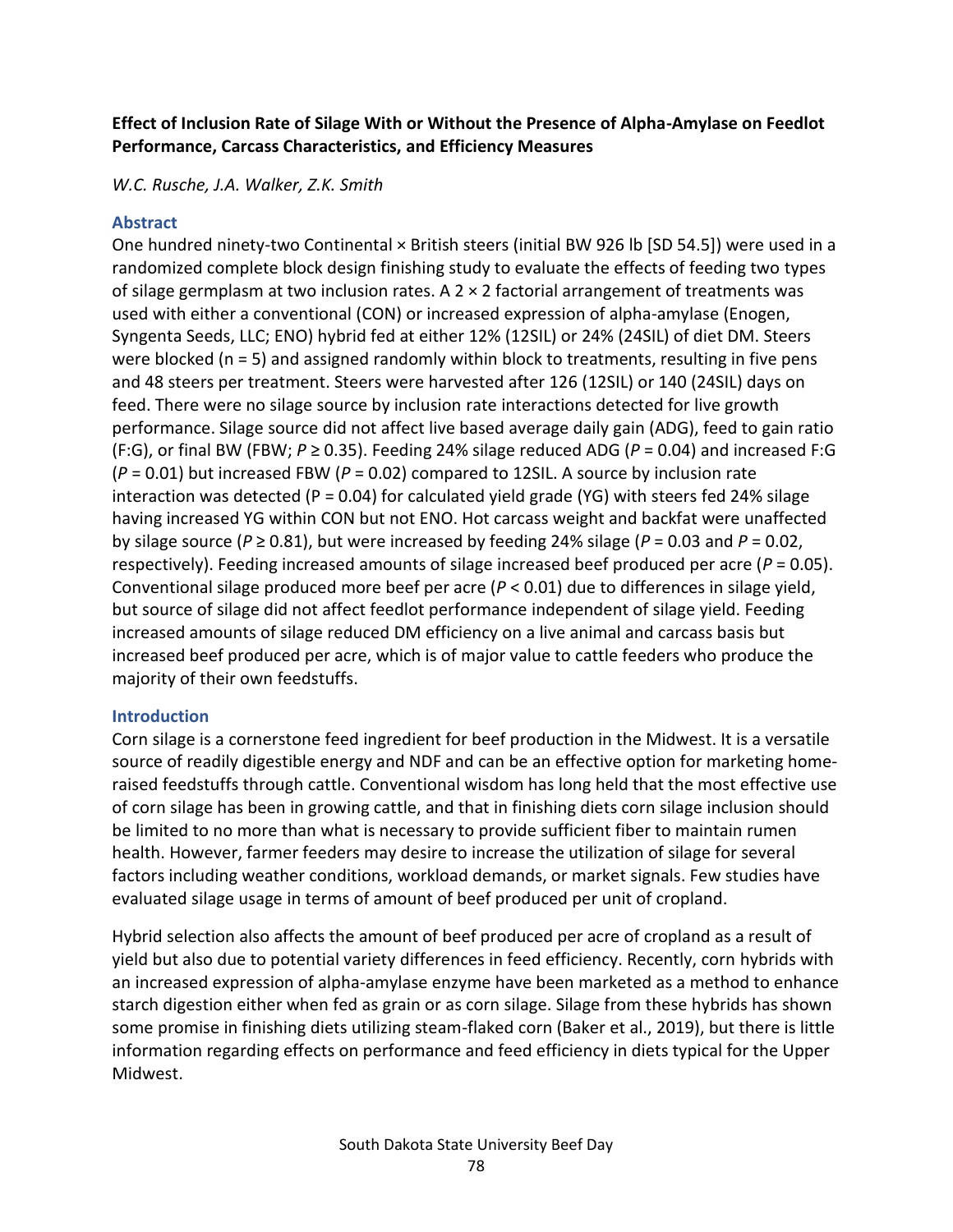### **Effect of Inclusion Rate of Silage With or Without the Presence of Alpha-Amylase on Feedlot Performance, Carcass Characteristics, and Efficiency Measures**

*W.C. Rusche, J.A. Walker, Z.K. Smith*

#### **Abstract**

One hundred ninety-two Continental × British steers (initial BW 926 lb [SD 54.5]) were used in a randomized complete block design finishing study to evaluate the effects of feeding two types of silage germplasm at two inclusion rates. A  $2 \times 2$  factorial arrangement of treatments was used with either a conventional (CON) or increased expression of alpha-amylase (Enogen, Syngenta Seeds, LLC; ENO) hybrid fed at either 12% (12SIL) or 24% (24SIL) of diet DM. Steers were blocked (n = 5) and assigned randomly within block to treatments, resulting in five pens and 48 steers per treatment. Steers were harvested after 126 (12SIL) or 140 (24SIL) days on feed. There were no silage source by inclusion rate interactions detected for live growth performance. Silage source did not affect live based average daily gain (ADG), feed to gain ratio (F:G), or final BW (FBW; *P* ≥ 0.35). Feeding 24% silage reduced ADG (*P* = 0.04) and increased F:G (*P* = 0.01) but increased FBW (*P* = 0.02) compared to 12SIL. A source by inclusion rate interaction was detected (P = 0.04) for calculated yield grade (YG) with steers fed 24% silage having increased YG within CON but not ENO. Hot carcass weight and backfat were unaffected by silage source ( $P \ge 0.81$ ), but were increased by feeding 24% silage ( $P = 0.03$  and  $P = 0.02$ , respectively). Feeding increased amounts of silage increased beef produced per acre (*P* = 0.05). Conventional silage produced more beef per acre (*P* < 0.01) due to differences in silage yield, but source of silage did not affect feedlot performance independent of silage yield. Feeding increased amounts of silage reduced DM efficiency on a live animal and carcass basis but increased beef produced per acre, which is of major value to cattle feeders who produce the majority of their own feedstuffs.

#### **Introduction**

Corn silage is a cornerstone feed ingredient for beef production in the Midwest. It is a versatile source of readily digestible energy and NDF and can be an effective option for marketing homeraised feedstuffs through cattle. Conventional wisdom has long held that the most effective use of corn silage has been in growing cattle, and that in finishing diets corn silage inclusion should be limited to no more than what is necessary to provide sufficient fiber to maintain rumen health. However, farmer feeders may desire to increase the utilization of silage for several factors including weather conditions, workload demands, or market signals. Few studies have evaluated silage usage in terms of amount of beef produced per unit of cropland.

Hybrid selection also affects the amount of beef produced per acre of cropland as a result of yield but also due to potential variety differences in feed efficiency. Recently, corn hybrids with an increased expression of alpha-amylase enzyme have been marketed as a method to enhance starch digestion either when fed as grain or as corn silage. Silage from these hybrids has shown some promise in finishing diets utilizing steam-flaked corn (Baker et al., 2019), but there is little information regarding effects on performance and feed efficiency in diets typical for the Upper Midwest.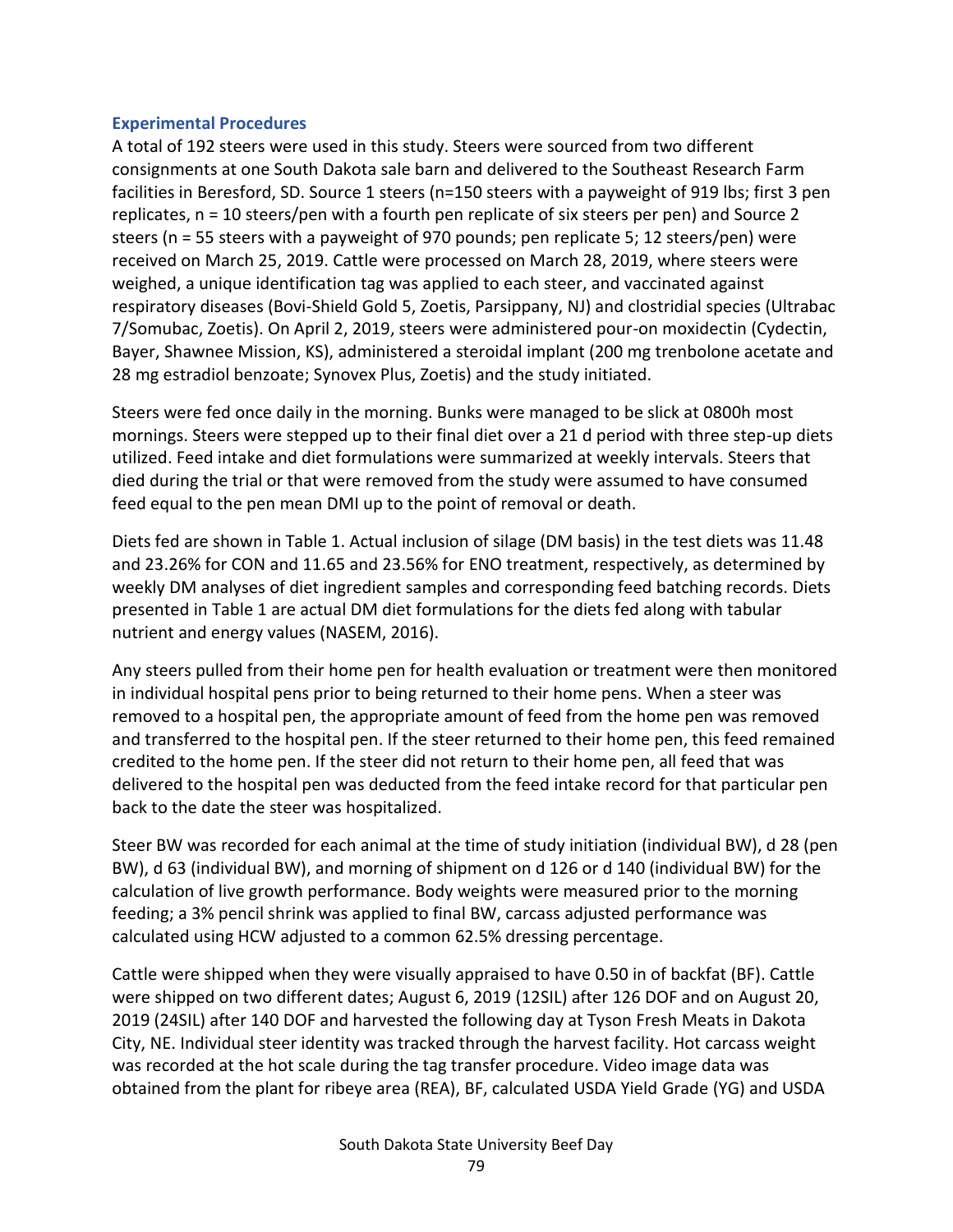#### **Experimental Procedures**

A total of 192 steers were used in this study. Steers were sourced from two different consignments at one South Dakota sale barn and delivered to the Southeast Research Farm facilities in Beresford, SD. Source 1 steers (n=150 steers with a payweight of 919 lbs; first 3 pen replicates, n = 10 steers/pen with a fourth pen replicate of six steers per pen) and Source 2 steers (n = 55 steers with a payweight of 970 pounds; pen replicate 5; 12 steers/pen) were received on March 25, 2019. Cattle were processed on March 28, 2019, where steers were weighed, a unique identification tag was applied to each steer, and vaccinated against respiratory diseases (Bovi-Shield Gold 5, Zoetis, Parsippany, NJ) and clostridial species (Ultrabac 7/Somubac, Zoetis). On April 2, 2019, steers were administered pour-on moxidectin (Cydectin, Bayer, Shawnee Mission, KS), administered a steroidal implant (200 mg trenbolone acetate and 28 mg estradiol benzoate; Synovex Plus, Zoetis) and the study initiated.

Steers were fed once daily in the morning. Bunks were managed to be slick at 0800h most mornings. Steers were stepped up to their final diet over a 21 d period with three step-up diets utilized. Feed intake and diet formulations were summarized at weekly intervals. Steers that died during the trial or that were removed from the study were assumed to have consumed feed equal to the pen mean DMI up to the point of removal or death.

Diets fed are shown in Table 1. Actual inclusion of silage (DM basis) in the test diets was 11.48 and 23.26% for CON and 11.65 and 23.56% for ENO treatment, respectively, as determined by weekly DM analyses of diet ingredient samples and corresponding feed batching records. Diets presented in Table 1 are actual DM diet formulations for the diets fed along with tabular nutrient and energy values (NASEM, 2016).

Any steers pulled from their home pen for health evaluation or treatment were then monitored in individual hospital pens prior to being returned to their home pens. When a steer was removed to a hospital pen, the appropriate amount of feed from the home pen was removed and transferred to the hospital pen. If the steer returned to their home pen, this feed remained credited to the home pen. If the steer did not return to their home pen, all feed that was delivered to the hospital pen was deducted from the feed intake record for that particular pen back to the date the steer was hospitalized.

Steer BW was recorded for each animal at the time of study initiation (individual BW), d 28 (pen BW), d 63 (individual BW), and morning of shipment on d 126 or d 140 (individual BW) for the calculation of live growth performance. Body weights were measured prior to the morning feeding; a 3% pencil shrink was applied to final BW, carcass adjusted performance was calculated using HCW adjusted to a common 62.5% dressing percentage.

Cattle were shipped when they were visually appraised to have 0.50 in of backfat (BF). Cattle were shipped on two different dates; August 6, 2019 (12SIL) after 126 DOF and on August 20, 2019 (24SIL) after 140 DOF and harvested the following day at Tyson Fresh Meats in Dakota City, NE. Individual steer identity was tracked through the harvest facility. Hot carcass weight was recorded at the hot scale during the tag transfer procedure. Video image data was obtained from the plant for ribeye area (REA), BF, calculated USDA Yield Grade (YG) and USDA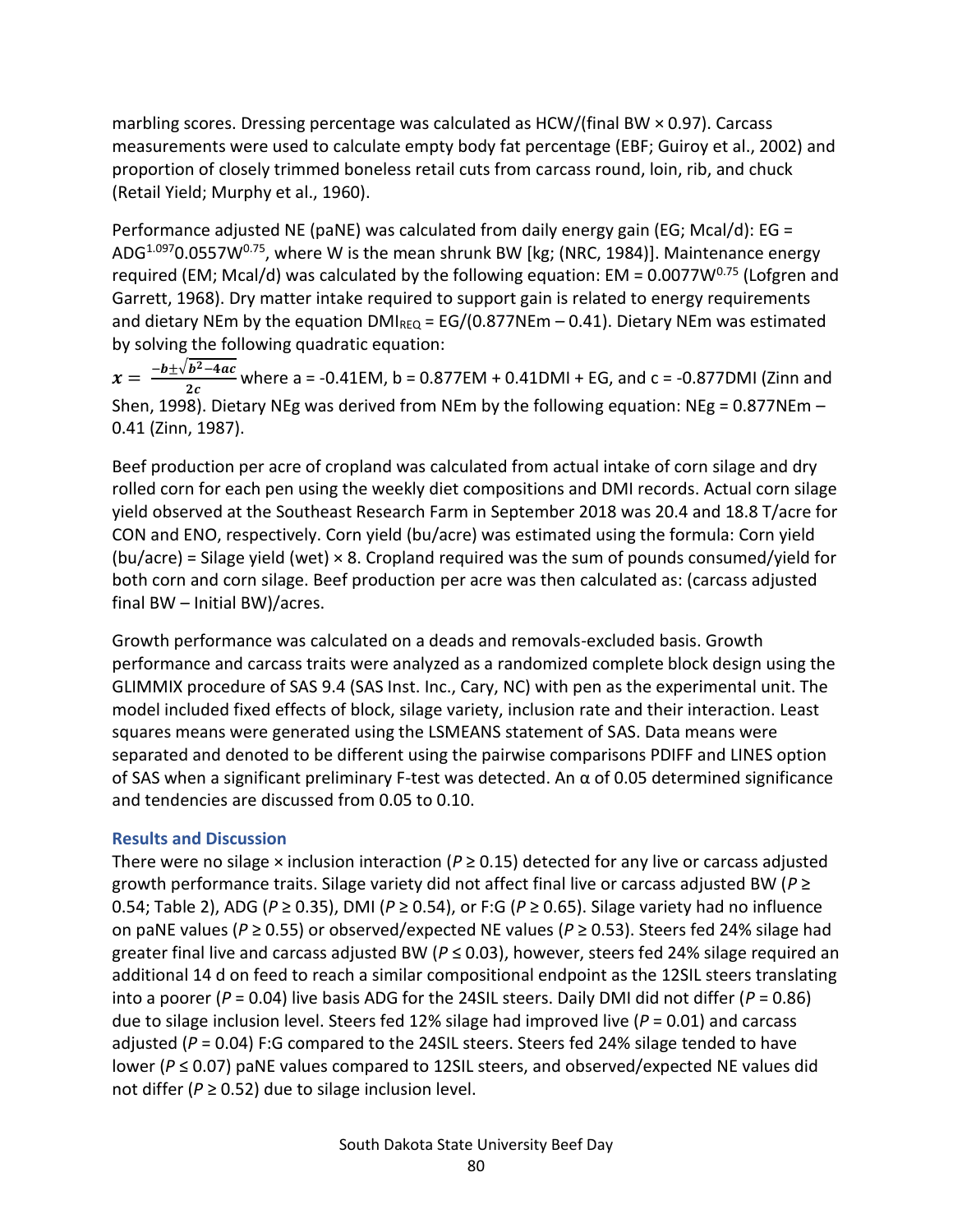marbling scores. Dressing percentage was calculated as HCW/(final BW × 0.97). Carcass measurements were used to calculate empty body fat percentage (EBF; Guiroy et al., 2002) and proportion of closely trimmed boneless retail cuts from carcass round, loin, rib, and chuck (Retail Yield; Murphy et al., 1960).

Performance adjusted NE (paNE) was calculated from daily energy gain (EG; Mcal/d): EG = ADG<sup>1.097</sup>0.0557W<sup>0.75</sup>, where W is the mean shrunk BW [kg; (NRC, 1984)]. Maintenance energy required (EM; Mcal/d) was calculated by the following equation: EM =  $0.0077W^{0.75}$  (Lofgren and Garrett, 1968). Dry matter intake required to support gain is related to energy requirements and dietary NEm by the equation  $DMI_{REQ} = EG/(0.877NEm - 0.41)$ . Dietary NEm was estimated by solving the following quadratic equation:

 $x = \frac{-b \pm \sqrt{b^2 - 4ac}}{2a}$  $\frac{b^2-4at}{2c}$  where a = -0.41EM, b = 0.877EM + 0.41DMI + EG, and c = -0.877DMI (Zinn and Shen, 1998). Dietary NEg was derived from NEm by the following equation: NEg = 0.877NEm – 0.41 (Zinn, 1987).

Beef production per acre of cropland was calculated from actual intake of corn silage and dry rolled corn for each pen using the weekly diet compositions and DMI records. Actual corn silage yield observed at the Southeast Research Farm in September 2018 was 20.4 and 18.8 T/acre for CON and ENO, respectively. Corn yield (bu/acre) was estimated using the formula: Corn yield  $(bu/acre)$  = Silage yield (wet)  $\times$  8. Cropland required was the sum of pounds consumed/yield for both corn and corn silage. Beef production per acre was then calculated as: (carcass adjusted final BW – Initial BW)/acres.

Growth performance was calculated on a deads and removals-excluded basis. Growth performance and carcass traits were analyzed as a randomized complete block design using the GLIMMIX procedure of SAS 9.4 (SAS Inst. Inc., Cary, NC) with pen as the experimental unit. The model included fixed effects of block, silage variety, inclusion rate and their interaction. Least squares means were generated using the LSMEANS statement of SAS. Data means were separated and denoted to be different using the pairwise comparisons PDIFF and LINES option of SAS when a significant preliminary F-test was detected. An α of 0.05 determined significance and tendencies are discussed from 0.05 to 0.10.

#### **Results and Discussion**

There were no silage  $\times$  inclusion interaction ( $P \ge 0.15$ ) detected for any live or carcass adjusted growth performance traits. Silage variety did not affect final live or carcass adjusted BW (*P* ≥ 0.54; Table 2), ADG (*P* ≥ 0.35), DMI (*P* ≥ 0.54), or F:G (*P* ≥ 0.65). Silage variety had no influence on paNE values (*P* ≥ 0.55) or observed/expected NE values (*P* ≥ 0.53). Steers fed 24% silage had greater final live and carcass adjusted BW (*P* ≤ 0.03), however, steers fed 24% silage required an additional 14 d on feed to reach a similar compositional endpoint as the 12SIL steers translating into a poorer ( $P = 0.04$ ) live basis ADG for the 24SIL steers. Daily DMI did not differ ( $P = 0.86$ ) due to silage inclusion level. Steers fed 12% silage had improved live (*P* = 0.01) and carcass adjusted (*P* = 0.04) F:G compared to the 24SIL steers. Steers fed 24% silage tended to have lower (*P* ≤ 0.07) paNE values compared to 12SIL steers, and observed/expected NE values did not differ ( $P \ge 0.52$ ) due to silage inclusion level.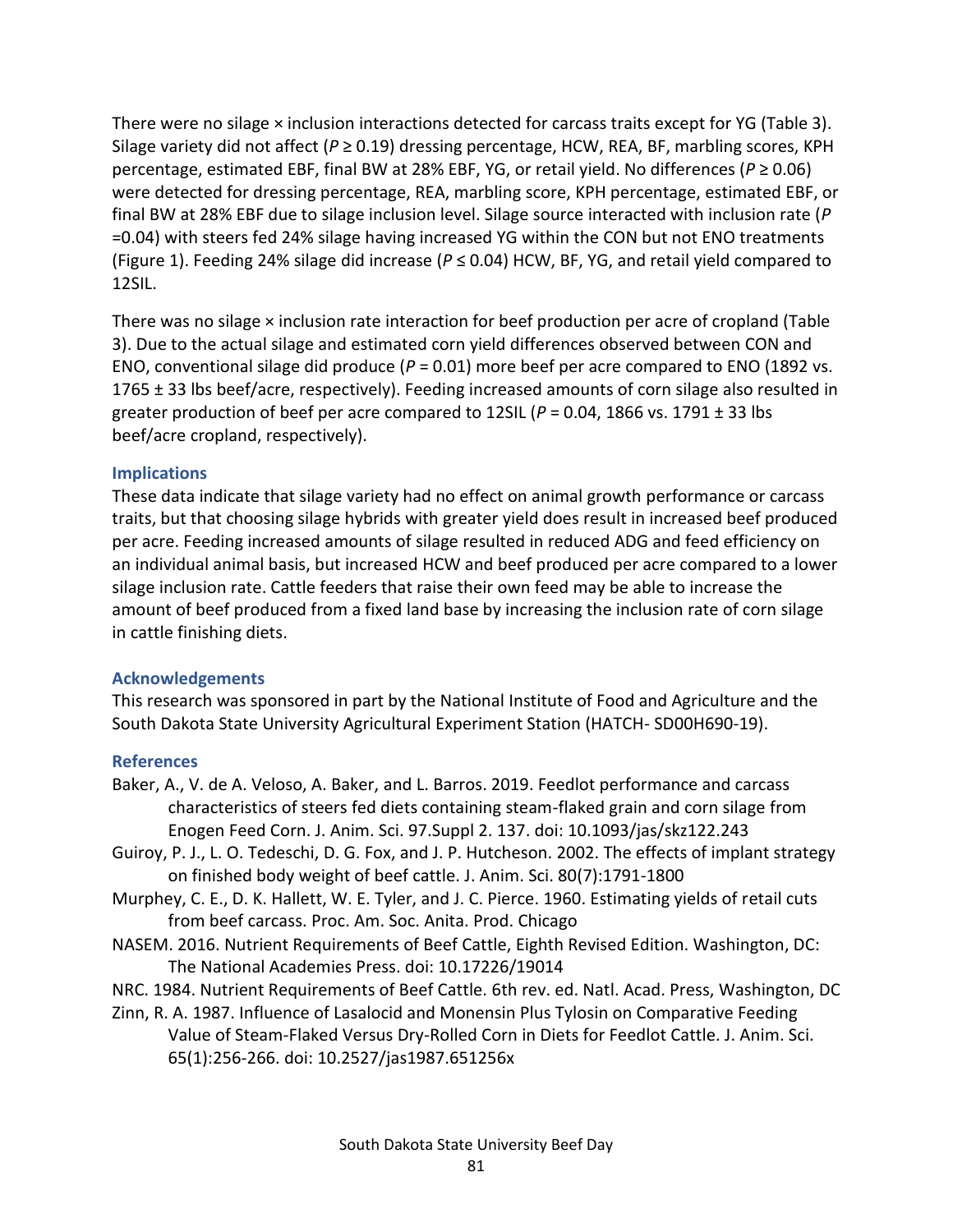There were no silage × inclusion interactions detected for carcass traits except for YG (Table 3). Silage variety did not affect (*P* ≥ 0.19) dressing percentage, HCW, REA, BF, marbling scores, KPH percentage, estimated EBF, final BW at 28% EBF, YG, or retail yield. No differences (*P* ≥ 0.06) were detected for dressing percentage, REA, marbling score, KPH percentage, estimated EBF, or final BW at 28% EBF due to silage inclusion level. Silage source interacted with inclusion rate (*P*  =0.04) with steers fed 24% silage having increased YG within the CON but not ENO treatments (Figure 1). Feeding 24% silage did increase (*P* ≤ 0.04) HCW, BF, YG, and retail yield compared to 12SIL.

There was no silage × inclusion rate interaction for beef production per acre of cropland (Table 3). Due to the actual silage and estimated corn yield differences observed between CON and ENO, conventional silage did produce (*P* = 0.01) more beef per acre compared to ENO (1892 vs. 1765 ± 33 lbs beef/acre, respectively). Feeding increased amounts of corn silage also resulted in greater production of beef per acre compared to 12SIL ( $P = 0.04$ , 1866 vs. 1791  $\pm$  33 lbs beef/acre cropland, respectively).

#### **Implications**

These data indicate that silage variety had no effect on animal growth performance or carcass traits, but that choosing silage hybrids with greater yield does result in increased beef produced per acre. Feeding increased amounts of silage resulted in reduced ADG and feed efficiency on an individual animal basis, but increased HCW and beef produced per acre compared to a lower silage inclusion rate. Cattle feeders that raise their own feed may be able to increase the amount of beef produced from a fixed land base by increasing the inclusion rate of corn silage in cattle finishing diets.

#### **Acknowledgements**

This research was sponsored in part by the National Institute of Food and Agriculture and the South Dakota State University Agricultural Experiment Station (HATCH- SD00H690-19).

#### **References**

- Baker, A., V. de A. Veloso, A. Baker, and L. Barros. 2019. Feedlot performance and carcass characteristics of steers fed diets containing steam-flaked grain and corn silage from Enogen Feed Corn. J. Anim. Sci. 97.Suppl 2. 137. doi: 10.1093/jas/skz122.243
- Guiroy, P. J., L. O. Tedeschi, D. G. Fox, and J. P. Hutcheson. 2002. The effects of implant strategy on finished body weight of beef cattle. J. Anim. Sci. 80(7):1791-1800
- Murphey, C. E., D. K. Hallett, W. E. Tyler, and J. C. Pierce. 1960. Estimating yields of retail cuts from beef carcass. Proc. Am. Soc. Anita. Prod. Chicago
- NASEM. 2016. Nutrient Requirements of Beef Cattle, Eighth Revised Edition. Washington, DC: The National Academies Press. doi: 10.17226/19014
- NRC. 1984. Nutrient Requirements of Beef Cattle. 6th rev. ed. Natl. Acad. Press, Washington, DC
- Zinn, R. A. 1987. Influence of Lasalocid and Monensin Plus Tylosin on Comparative Feeding Value of Steam-Flaked Versus Dry-Rolled Corn in Diets for Feedlot Cattle. J. Anim. Sci. 65(1):256-266. doi: 10.2527/jas1987.651256x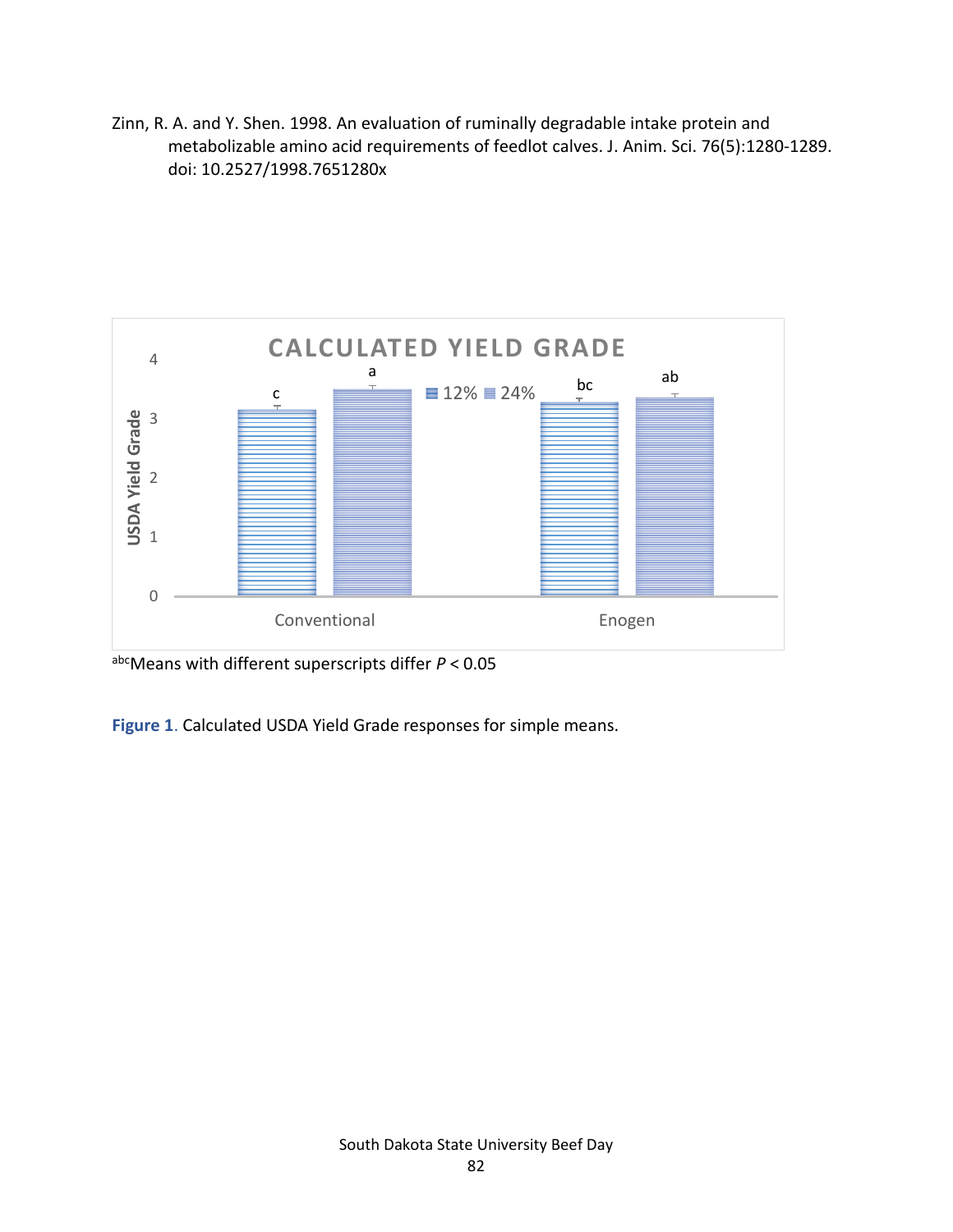Zinn, R. A. and Y. Shen. 1998. An evaluation of ruminally degradable intake protein and metabolizable amino acid requirements of feedlot calves. J. Anim. Sci. 76(5):1280-1289. doi: 10.2527/1998.7651280x



abcMeans with different superscripts differ *P* < 0.05

**Figure 1**. Calculated USDA Yield Grade responses for simple means.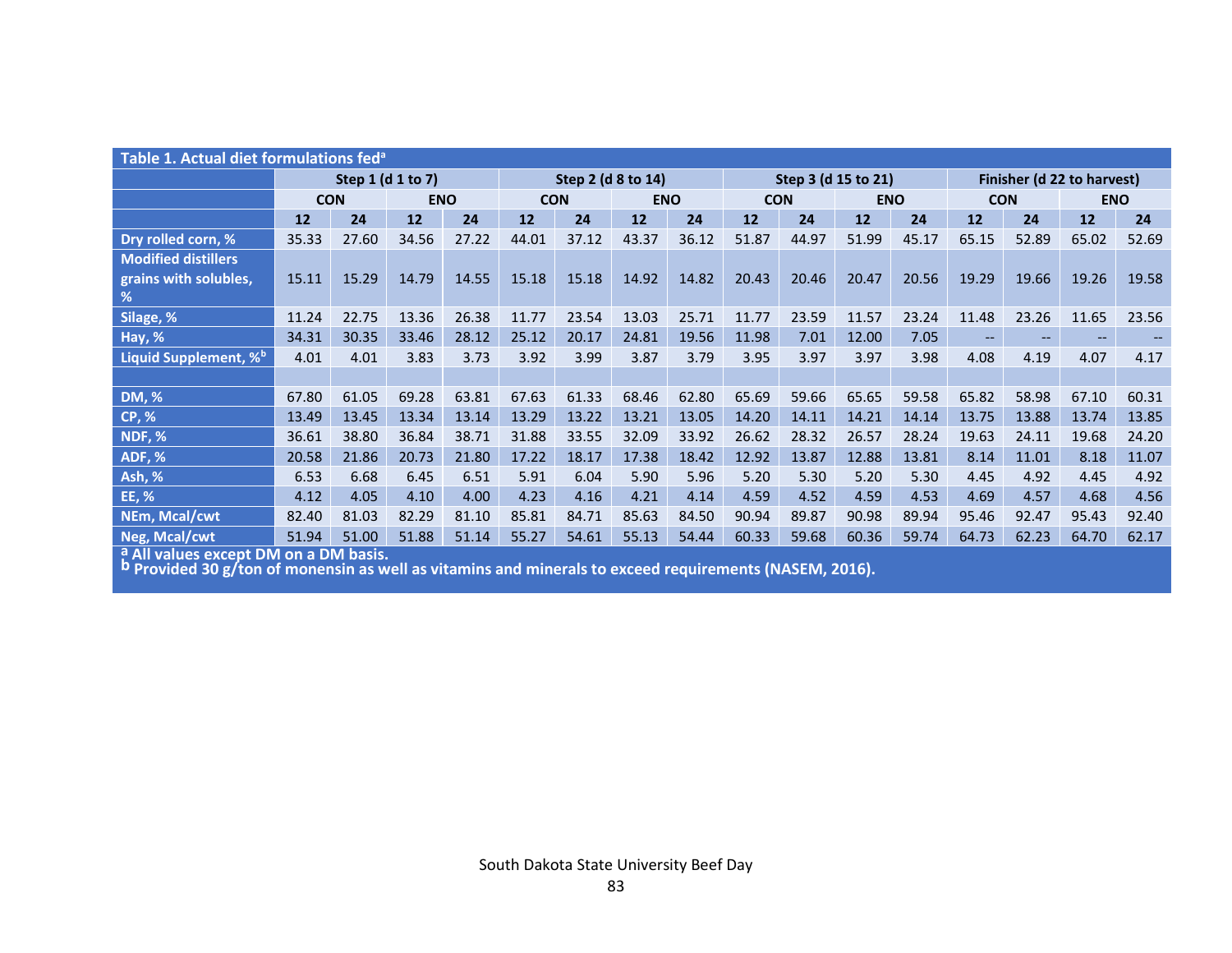| Table 1. Actual diet formulations fed <sup>a</sup> |                   |       |            |                    |            |       |                     |       |            |       |                            |       |                   |                   |            |       |
|----------------------------------------------------|-------------------|-------|------------|--------------------|------------|-------|---------------------|-------|------------|-------|----------------------------|-------|-------------------|-------------------|------------|-------|
|                                                    | Step 1 (d 1 to 7) |       |            | Step 2 (d 8 to 14) |            |       | Step 3 (d 15 to 21) |       |            |       | Finisher (d 22 to harvest) |       |                   |                   |            |       |
|                                                    | <b>CON</b>        |       | <b>ENO</b> |                    | <b>CON</b> |       | <b>ENO</b>          |       | <b>CON</b> |       | <b>ENO</b>                 |       | <b>CON</b>        |                   | <b>ENO</b> |       |
|                                                    | 12                | 24    | 12         | 24                 | 12         | 24    | <b>12</b>           | 24    | 12         | 24    | 12                         | 24    | <b>12</b>         | 24                | <b>12</b>  | 24    |
| Dry rolled corn, %                                 | 35.33             | 27.60 | 34.56      | 27.22              | 44.01      | 37.12 | 43.37               | 36.12 | 51.87      | 44.97 | 51.99                      | 45.17 | 65.15             | 52.89             | 65.02      | 52.69 |
| <b>Modified distillers</b>                         |                   |       |            |                    |            |       |                     |       |            |       |                            |       |                   |                   |            |       |
| grains with solubles,                              | 15.11             | 15.29 | 14.79      | 14.55              | 15.18      | 15.18 | 14.92               | 14.82 | 20.43      | 20.46 | 20.47                      | 20.56 | 19.29             | 19.66             | 19.26      | 19.58 |
| %                                                  |                   |       |            |                    |            |       |                     |       |            |       |                            |       |                   |                   |            |       |
| Silage, %                                          | 11.24             | 22.75 | 13.36      | 26.38              | 11.77      | 23.54 | 13.03               | 25.71 | 11.77      | 23.59 | 11.57                      | 23.24 | 11.48             | 23.26             | 11.65      | 23.56 |
| Hay, %                                             | 34.31             | 30.35 | 33.46      | 28.12              | 25.12      | 20.17 | 24.81               | 19.56 | 11.98      | 7.01  | 12.00                      | 7.05  | $\qquad \qquad -$ | $\qquad \qquad -$ | $- -$      |       |
| Liquid Supplement, % <sup>b</sup>                  | 4.01              | 4.01  | 3.83       | 3.73               | 3.92       | 3.99  | 3.87                | 3.79  | 3.95       | 3.97  | 3.97                       | 3.98  | 4.08              | 4.19              | 4.07       | 4.17  |
|                                                    |                   |       |            |                    |            |       |                     |       |            |       |                            |       |                   |                   |            |       |
| <b>DM, %</b>                                       | 67.80             | 61.05 | 69.28      | 63.81              | 67.63      | 61.33 | 68.46               | 62.80 | 65.69      | 59.66 | 65.65                      | 59.58 | 65.82             | 58.98             | 67.10      | 60.31 |
| <b>CP, %</b>                                       | 13.49             | 13.45 | 13.34      | 13.14              | 13.29      | 13.22 | 13.21               | 13.05 | 14.20      | 14.11 | 14.21                      | 14.14 | 13.75             | 13.88             | 13.74      | 13.85 |
| NDF, %                                             | 36.61             | 38.80 | 36.84      | 38.71              | 31.88      | 33.55 | 32.09               | 33.92 | 26.62      | 28.32 | 26.57                      | 28.24 | 19.63             | 24.11             | 19.68      | 24.20 |
| ADF, %                                             | 20.58             | 21.86 | 20.73      | 21.80              | 17.22      | 18.17 | 17.38               | 18.42 | 12.92      | 13.87 | 12.88                      | 13.81 | 8.14              | 11.01             | 8.18       | 11.07 |
| Ash, %                                             | 6.53              | 6.68  | 6.45       | 6.51               | 5.91       | 6.04  | 5.90                | 5.96  | 5.20       | 5.30  | 5.20                       | 5.30  | 4.45              | 4.92              | 4.45       | 4.92  |
| EE, %                                              | 4.12              | 4.05  | 4.10       | 4.00               | 4.23       | 4.16  | 4.21                | 4.14  | 4.59       | 4.52  | 4.59                       | 4.53  | 4.69              | 4.57              | 4.68       | 4.56  |
| NEm, Mcal/cwt                                      | 82.40             | 81.03 | 82.29      | 81.10              | 85.81      | 84.71 | 85.63               | 84.50 | 90.94      | 89.87 | 90.98                      | 89.94 | 95.46             | 92.47             | 95.43      | 92.40 |
| Neg, Mcal/cwt                                      | 51.94             | 51.00 | 51.88      | 51.14              | 55.27      | 54.61 | 55.13               | 54.44 | 60.33      | 59.68 | 60.36                      | 59.74 | 64.73             | 62.23             | 64.70      | 62.17 |

**<sup>a</sup> All values except DM on a DM basis. b Provided 30 g/ton of monensin as well as vitamins and minerals to exceed requirements (NASEM, 2016).**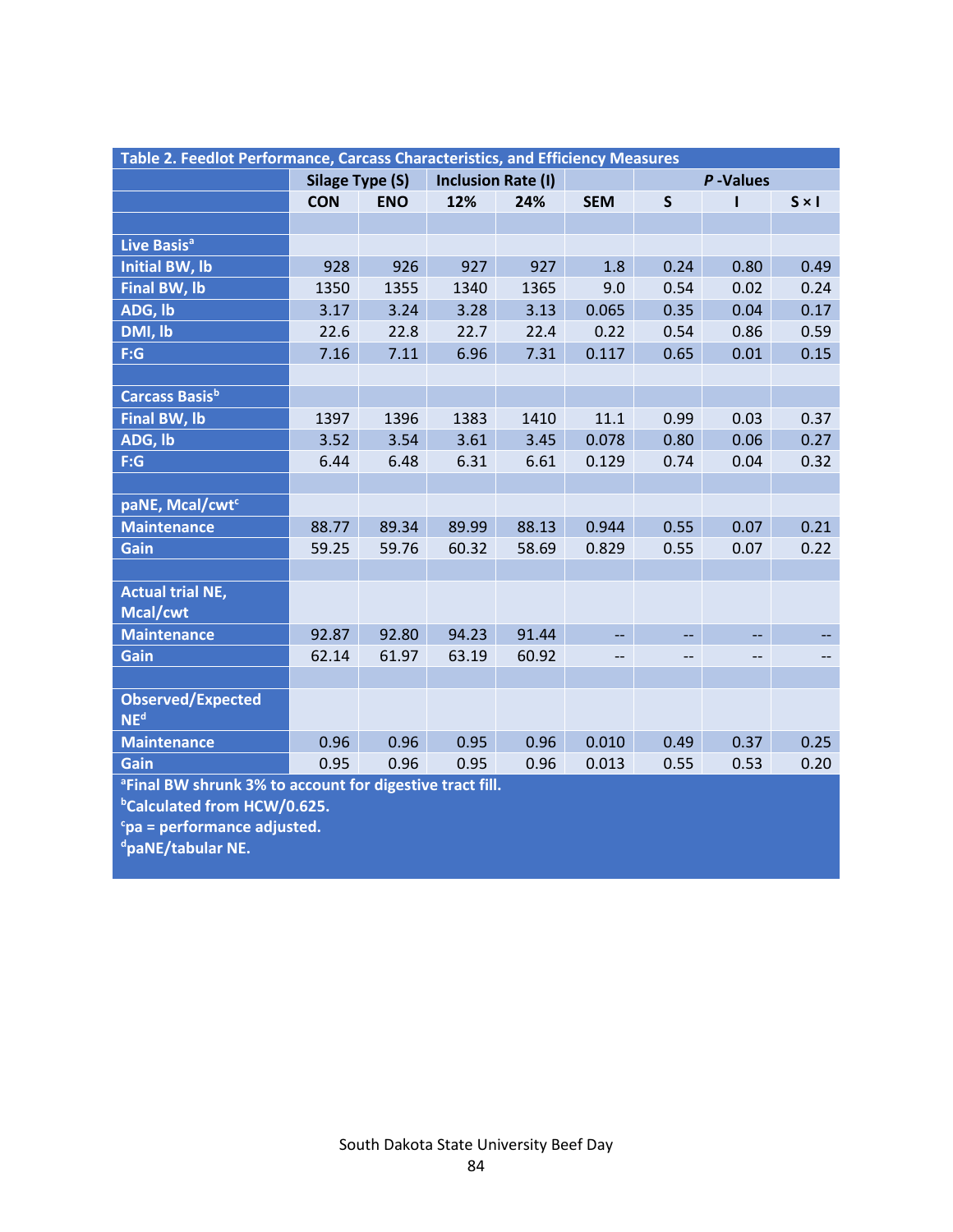| Table 2. Feedlot Performance, Carcass Characteristics, and Efficiency Measures |                        |            |                           |       |            |                          |      |              |  |  |
|--------------------------------------------------------------------------------|------------------------|------------|---------------------------|-------|------------|--------------------------|------|--------------|--|--|
|                                                                                | <b>Silage Type (S)</b> |            | <b>Inclusion Rate (I)</b> |       |            | P-Values                 |      |              |  |  |
|                                                                                | <b>CON</b>             | <b>ENO</b> | 12%                       | 24%   | <b>SEM</b> | $\mathsf{S}$             | ı    | $S \times I$ |  |  |
|                                                                                |                        |            |                           |       |            |                          |      |              |  |  |
| Live Basis <sup>a</sup>                                                        |                        |            |                           |       |            |                          |      |              |  |  |
| <b>Initial BW, lb</b>                                                          | 928                    | 926        | 927                       | 927   | 1.8        | 0.24                     | 0.80 | 0.49         |  |  |
| <b>Final BW, lb</b>                                                            | 1350                   | 1355       | 1340                      | 1365  | 9.0        | 0.54                     | 0.02 | 0.24         |  |  |
| ADG, lb                                                                        | 3.17                   | 3.24       | 3.28                      | 3.13  | 0.065      | 0.35                     | 0.04 | 0.17         |  |  |
| DMI, lb                                                                        | 22.6                   | 22.8       | 22.7                      | 22.4  | 0.22       | 0.54                     | 0.86 | 0.59         |  |  |
| F:G                                                                            | 7.16                   | 7.11       | 6.96                      | 7.31  | 0.117      | 0.65                     | 0.01 | 0.15         |  |  |
|                                                                                |                        |            |                           |       |            |                          |      |              |  |  |
| Carcass Basisb                                                                 |                        |            |                           |       |            |                          |      |              |  |  |
| <b>Final BW, lb</b>                                                            | 1397                   | 1396       | 1383                      | 1410  | 11.1       | 0.99                     | 0.03 | 0.37         |  |  |
| ADG, Ib                                                                        | 3.52                   | 3.54       | 3.61                      | 3.45  | 0.078      | 0.80                     | 0.06 | 0.27         |  |  |
| F:G                                                                            | 6.44                   | 6.48       | 6.31                      | 6.61  | 0.129      | 0.74                     | 0.04 | 0.32         |  |  |
|                                                                                |                        |            |                           |       |            |                          |      |              |  |  |
| paNE, Mcal/cwt <sup>c</sup>                                                    |                        |            |                           |       |            |                          |      |              |  |  |
| <b>Maintenance</b>                                                             | 88.77                  | 89.34      | 89.99                     | 88.13 | 0.944      | 0.55                     | 0.07 | 0.21         |  |  |
| Gain                                                                           | 59.25                  | 59.76      | 60.32                     | 58.69 | 0.829      | 0.55                     | 0.07 | 0.22         |  |  |
|                                                                                |                        |            |                           |       |            |                          |      |              |  |  |
| <b>Actual trial NE,</b>                                                        |                        |            |                           |       |            |                          |      |              |  |  |
| Mcal/cwt                                                                       |                        |            |                           |       |            |                          |      |              |  |  |
| <b>Maintenance</b>                                                             | 92.87                  | 92.80      | 94.23                     | 91.44 | 44         | $\overline{\phantom{a}}$ | $-$  |              |  |  |
| Gain                                                                           | 62.14                  | 61.97      | 63.19                     | 60.92 | --         | --                       | --   |              |  |  |
|                                                                                |                        |            |                           |       |            |                          |      |              |  |  |
| <b>Observed/Expected</b><br>NE <sup>d</sup>                                    |                        |            |                           |       |            |                          |      |              |  |  |
| <b>Maintenance</b>                                                             | 0.96                   | 0.96       | 0.95                      | 0.96  | 0.010      | 0.49                     | 0.37 | 0.25         |  |  |
| Gain                                                                           | 0.95                   | 0.96       | 0.95                      | 0.96  | 0.013      | 0.55                     | 0.53 | 0.20         |  |  |
| <sup>a</sup> Final BW shrunk 3% to account for digestive tract fill.           |                        |            |                           |       |            |                          |      |              |  |  |
| <sup>b</sup> Calculated from HCW/0.625.                                        |                        |            |                           |       |            |                          |      |              |  |  |

**<sup>c</sup>pa = performance adjusted.**

**dpaNE/tabular NE.**